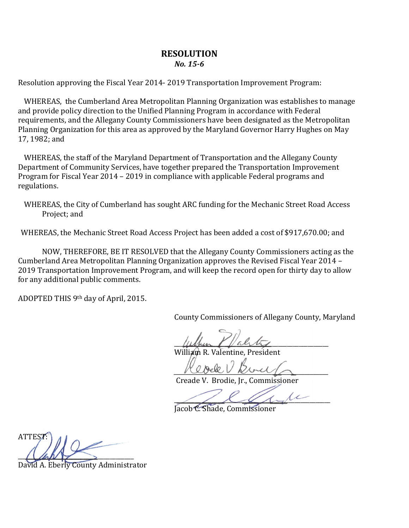## **RESOLUTION** *No. 15-6*

Resolution approving the Fiscal Year 2014- 2019 Transportation Improvement Program:

WHEREAS, the Cumberland Area Metropolitan Planning Organization was establishes to manage and provide policy direction to the Unified Planning Program in accordance with Federal requirements, and the Allegany County Commissioners have been designated as the Metropolitan Planning Organization for this area as approved by the Maryland Governor Harry Hughes on May 17, 1982; and

WHEREAS, the staff of the Maryland Department of Transportation and the Allegany County Department of Community Services, have together prepared the Transportation Improvement Program for Fiscal Year 2014 – 2019 in compliance with applicable Federal programs and regulations.

WHEREAS, the City of Cumberland has sought ARC funding for the Mechanic Street Road Access Project; and

WHEREAS, the Mechanic Street Road Access Project has been added a cost of \$917,670.00; and

NOW, THEREFORE, BE IT RESOLVED that the Allegany County Commissioners acting as the Cumberland Area Metropolitan Planning Organization approves the Revised Fiscal Year 2014 – 2019 Transportation Improvement Program, and will keep the record open for thirty day to allow for any additional public comments.

ADOPTED THIS 9th day of April, 2015.

County Commissioners of Allegany County, Maryland

 $\mu$ 

William R. Valentine, President

 $MLOeBCV$   $MoreC$ 

Creade V. Brodie, Jr., Commissioner

 $\frac{1}{2}$ 

Jacob C. Shade, Commissioner

ATTEST:  $\sqrt{2\pi N}$ 

Eberly County Administrator